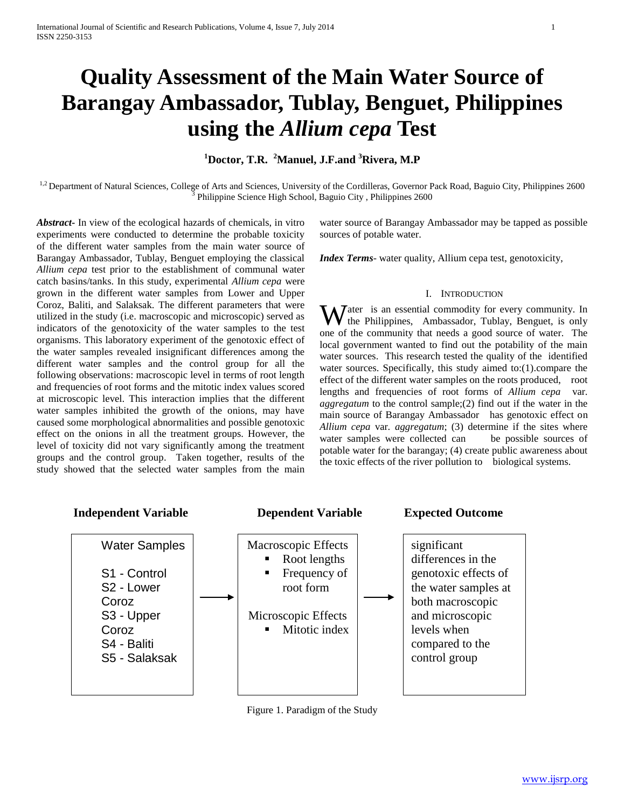# **Quality Assessment of the Main Water Source of Barangay Ambassador, Tublay, Benguet, Philippines using the** *Allium cepa* **Test**

## **<sup>1</sup>Doctor, T.R. <sup>2</sup>Manuel, J.F.and <sup>3</sup>Rivera, M.P**

<sup>1,2</sup> Department of Natural Sciences, College of Arts and Sciences, University of the Cordilleras, Governor Pack Road, Baguio City, Philippines 2600 Philippine Science High School, Baguio City , Philippines 2600

*Abstract***-** In view of the ecological hazards of chemicals, in vitro experiments were conducted to determine the probable toxicity of the different water samples from the main water source of Barangay Ambassador, Tublay, Benguet employing the classical *Allium cepa* test prior to the establishment of communal water catch basins/tanks. In this study, experimental *Allium cepa* were grown in the different water samples from Lower and Upper Coroz, Baliti, and Salaksak. The different parameters that were utilized in the study (i.e. macroscopic and microscopic) served as indicators of the genotoxicity of the water samples to the test organisms. This laboratory experiment of the genotoxic effect of the water samples revealed insignificant differences among the different water samples and the control group for all the following observations: macroscopic level in terms of root length and frequencies of root forms and the mitotic index values scored at microscopic level. This interaction implies that the different water samples inhibited the growth of the onions, may have caused some morphological abnormalities and possible genotoxic effect on the onions in all the treatment groups. However, the level of toxicity did not vary significantly among the treatment groups and the control group. Taken together, results of the study showed that the selected water samples from the main

water source of Barangay Ambassador may be tapped as possible sources of potable water.

*Index Terms*- water quality, Allium cepa test, genotoxicity,

#### I. INTRODUCTION

**W** ater is an essential commodity for every community. In the Philippines, Ambassador, Tublay, Benguet, is only the Philippines, Ambassador, Tublay, Benguet, is only one of the community that needs a good source of water. The local government wanted to find out the potability of the main water sources. This research tested the quality of the identified water sources. Specifically, this study aimed to:(1).compare the effect of the different water samples on the roots produced, root lengths and frequencies of root forms of *Allium cepa* var*. aggregatum* to the control sample;(2) find out if the water in the main source of Barangay Ambassador has genotoxic effect on *Allium cepa* var*. aggregatum*; (3) determine if the sites where water samples were collected can be possible sources of potable water for the barangay; (4) create public awareness about the toxic effects of the river pollution to biological systems.



Figure 1. Paradigm of the Study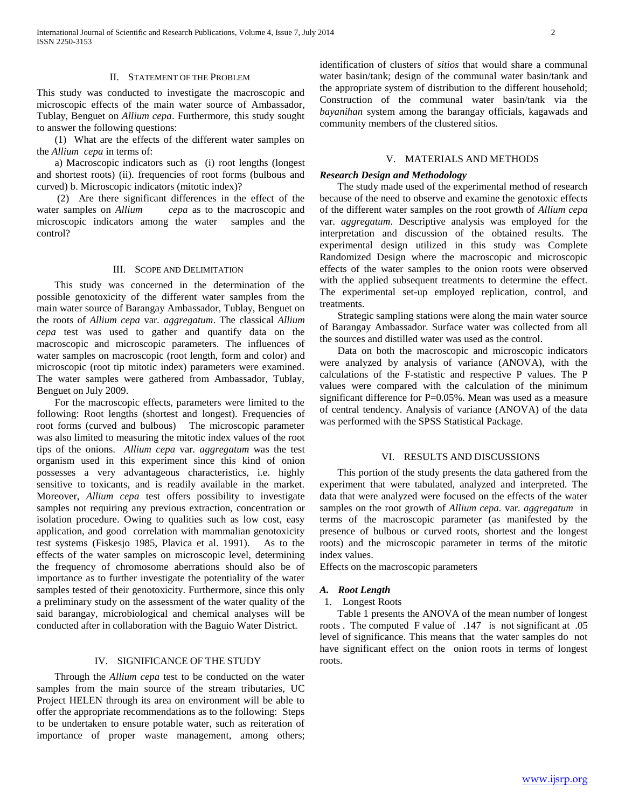#### II. STATEMENT OF THE PROBLEM

This study was conducted to investigate the macroscopic and microscopic effects of the main water source of Ambassador, Tublay, Benguet on *Allium cepa*. Furthermore, this study sought to answer the following questions:

 (1) What are the effects of the different water samples on the *Allium cepa* in terms of:

 a) Macroscopic indicators such as (i) root lengths (longest and shortest roots) (ii). frequencies of root forms (bulbous and curved) b. Microscopic indicators (mitotic index)?

 (2) Are there significant differences in the effect of the water samples on *Allium cepa* as to the macroscopic and microscopic indicators among the water samples and the control?

#### III. SCOPE AND DELIMITATION

 This study was concerned in the determination of the possible genotoxicity of the different water samples from the main water source of Barangay Ambassador, Tublay, Benguet on the roots of *Allium cepa* var*. aggregatum*. The classical *Allium cepa* test was used to gather and quantify data on the macroscopic and microscopic parameters. The influences of water samples on macroscopic (root length, form and color) and microscopic (root tip mitotic index) parameters were examined. The water samples were gathered from Ambassador, Tublay, Benguet on July 2009.

 For the macroscopic effects, parameters were limited to the following: Root lengths (shortest and longest). Frequencies of root forms (curved and bulbous) The microscopic parameter was also limited to measuring the mitotic index values of the root tips of the onions. *Allium cepa* var*. aggregatum* was the test organism used in this experiment since this kind of onion possesses a very advantageous characteristics, i.e. highly sensitive to toxicants, and is readily available in the market. Moreover, *Allium cepa* test offers possibility to investigate samples not requiring any previous extraction, concentration or isolation procedure. Owing to qualities such as low cost, easy application, and good correlation with mammalian genotoxicity test systems (Fiskesjo 1985, Plavica et al. 1991). As to the effects of the water samples on microscopic level, determining the frequency of chromosome aberrations should also be of importance as to further investigate the potentiality of the water samples tested of their genotoxicity. Furthermore, since this only a preliminary study on the assessment of the water quality of the said barangay, microbiological and chemical analyses will be conducted after in collaboration with the Baguio Water District.

## IV. SIGNIFICANCE OF THE STUDY

 Through the *Allium cepa* test to be conducted on the water samples from the main source of the stream tributaries, UC Project HELEN through its area on environment will be able to offer the appropriate recommendations as to the following: Steps to be undertaken to ensure potable water, such as reiteration of importance of proper waste management, among others; identification of clusters of *sitios* that would share a communal water basin/tank; design of the communal water basin/tank and the appropriate system of distribution to the different household; Construction of the communal water basin/tank via the *bayanihan* system among the barangay officials, kagawads and community members of the clustered sitios.

#### V. MATERIALS AND METHODS

## *Research Design and Methodology*

 The study made used of the experimental method of research because of the need to observe and examine the genotoxic effects of the different water samples on the root growth of *Allium cepa* var. *aggregatum*. Descriptive analysis was employed for the interpretation and discussion of the obtained results. The experimental design utilized in this study was Complete Randomized Design where the macroscopic and microscopic effects of the water samples to the onion roots were observed with the applied subsequent treatments to determine the effect. The experimental set-up employed replication, control, and treatments.

 Strategic sampling stations were along the main water source of Barangay Ambassador. Surface water was collected from all the sources and distilled water was used as the control.

 Data on both the macroscopic and microscopic indicators were analyzed by analysis of variance (ANOVA), with the calculations of the F-statistic and respective P values. The P values were compared with the calculation of the minimum significant difference for P=0.05%. Mean was used as a measure of central tendency. Analysis of variance (ANOVA) of the data was performed with the SPSS Statistical Package.

#### VI. RESULTS AND DISCUSSIONS

 This portion of the study presents the data gathered from the experiment that were tabulated, analyzed and interpreted. The data that were analyzed were focused on the effects of the water samples on the root growth of *Allium cepa.* var*. aggregatum* in terms of the macroscopic parameter (as manifested by the presence of bulbous or curved roots, shortest and the longest roots) and the microscopic parameter in terms of the mitotic index values.

Effects on the macroscopic parameters

## *A. Root Length*

## 1. Longest Roots

 Table 1 presents the ANOVA of the mean number of longest roots . The computed F value of .147 is not significant at .05 level of significance. This means that the water samples do not have significant effect on the onion roots in terms of longest roots.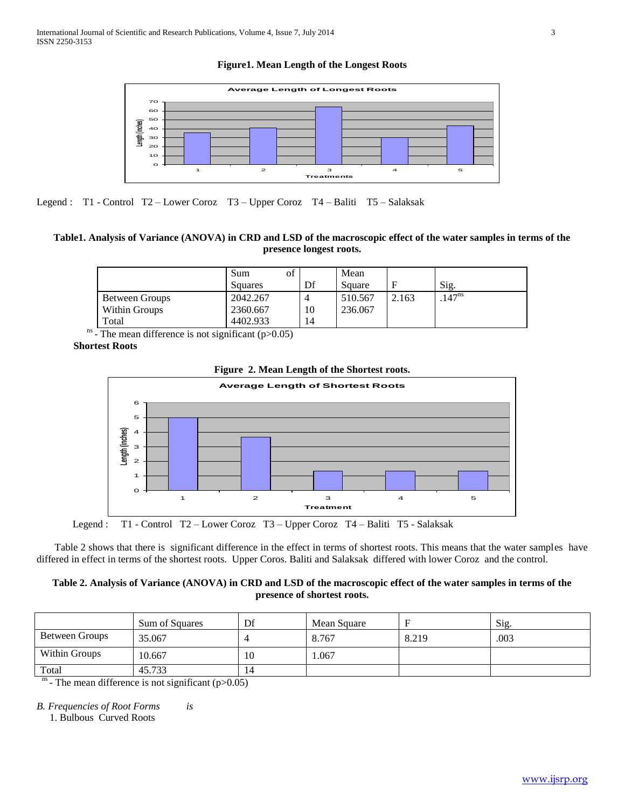**Figure1. Mean Length of the Longest Roots**



Legend : T1 - Control T2 – Lower Coroz T3 – Upper Coroz T4 – Baliti T5 – Salaksak

## **Table1. Analysis of Variance (ANOVA) in CRD and LSD of the macroscopic effect of the water samples in terms of the presence longest roots.**

|                | of<br>Sum<br>Squares | Df | Mean<br>Square |       | Sig.              |
|----------------|----------------------|----|----------------|-------|-------------------|
| Between Groups | 2042.267             | 4  | 510.567        | 2.163 | 147 <sup>ns</sup> |
| Within Groups  | 2360.667             | 10 | 236.067        |       |                   |
| Total          | 4402.933             | 14 |                |       |                   |

 $^{\text{ns}}$  - The mean difference is not significant (p>0.05)

**Shortest Roots**



## **Figure 2. Mean Length of the Shortest roots.**

Legend : T1 - Control T2 – Lower Coroz T3 – Upper Coroz T4 – Baliti T5 - Salaksak

 Table 2 shows that there is significant difference in the effect in terms of shortest roots. This means that the water samples have differed in effect in terms of the shortest roots. Upper Coros. Baliti and Salaksak differed with lower Coroz and the control.

## **Table 2. Analysis of Variance (ANOVA) in CRD and LSD of the macroscopic effect of the water samples in terms of the presence of shortest roots.**

|                | Sum of Squares | Df | Mean Square | Е     | Sig. |
|----------------|----------------|----|-------------|-------|------|
| Between Groups | 35.067         | 4  | 8.767       | 8.219 | .003 |
| Within Groups  | 10.667         | 10 | 1.067       |       |      |
| Total<br>---   | 45.733         | 14 |             |       |      |

 $<sup>ns</sup>$  - The mean difference is not significant (p>0.05)</sup>

*B. Frequencies of Root Forms is*

1. Bulbous Curved Roots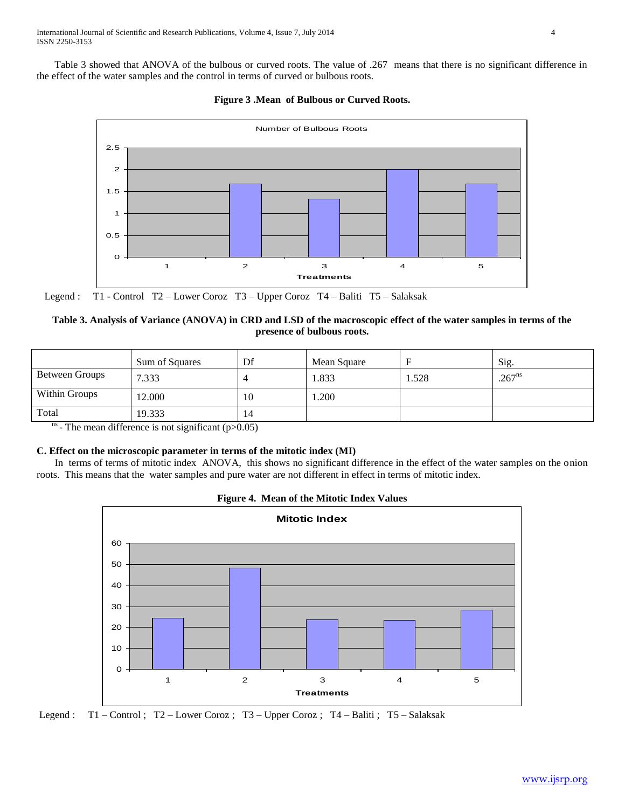Table 3 showed that ANOVA of the bulbous or curved roots. The value of .267 means that there is no significant difference in the effect of the water samples and the control in terms of curved or bulbous roots.





Legend : T1 - Control T2 – Lower Coroz T3 – Upper Coroz T4 – Baliti T5 – Salaksak

## **Table 3. Analysis of Variance (ANOVA) in CRD and LSD of the macroscopic effect of the water samples in terms of the presence of bulbous roots.**

|                       | Sum of Squares | Df | Mean Square | E     | Sig.        |
|-----------------------|----------------|----|-------------|-------|-------------|
| Between Groups        | 7.333          |    | 1.833       | 1.528 | $.267^{ns}$ |
| Within Groups         | 12.000         | 10 | 1.200       |       |             |
| Total<br>$\mathbf{r}$ | 19.333         | 14 |             |       |             |

 $<sup>ns</sup>$  - The mean difference is not significant (p>0.05)</sup>

## **C. Effect on the microscopic parameter in terms of the mitotic index (MI)**

 In terms of terms of mitotic index ANOVA, this shows no significant difference in the effect of the water samples on the onion roots. This means that the water samples and pure water are not different in effect in terms of mitotic index.





Legend : T1 – Control ; T2 – Lower Coroz ; T3 – Upper Coroz ; T4 – Baliti ; T5 – Salaksak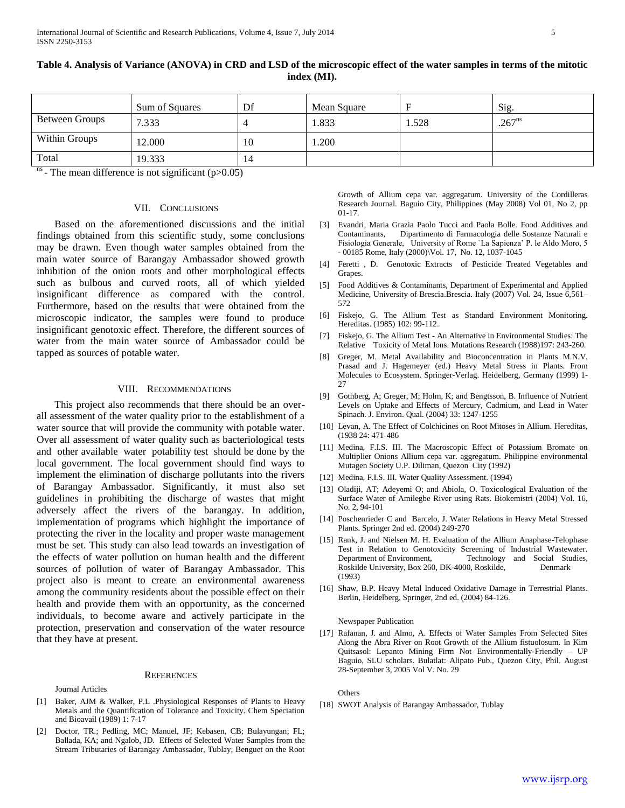|                       | Sum of Squares | Df | Mean Square |       | Sig.        |
|-----------------------|----------------|----|-------------|-------|-------------|
| <b>Between Groups</b> | 7.333          |    | 1.833       | 1.528 | $.267^{ns}$ |
| Within Groups         | 12.000         | 10 | 1.200       |       |             |
| Total                 | 19.333         | 14 |             |       |             |

**Table 4. Analysis of Variance (ANOVA) in CRD and LSD of the microscopic effect of the water samples in terms of the mitotic index (MI).**

 $n<sup>ns</sup>$  - The mean difference is not significant (p $>0.05$ )

## VII. CONCLUSIONS

 Based on the aforementioned discussions and the initial findings obtained from this scientific study, some conclusions may be drawn. Even though water samples obtained from the main water source of Barangay Ambassador showed growth inhibition of the onion roots and other morphological effects such as bulbous and curved roots, all of which yielded insignificant difference as compared with the control. Furthermore, based on the results that were obtained from the microscopic indicator, the samples were found to produce insignificant genotoxic effect. Therefore, the different sources of water from the main water source of Ambassador could be tapped as sources of potable water.

#### VIII. RECOMMENDATIONS

 This project also recommends that there should be an overall assessment of the water quality prior to the establishment of a water source that will provide the community with potable water. Over all assessment of water quality such as bacteriological tests and other available water potability test should be done by the local government. The local government should find ways to implement the elimination of discharge pollutants into the rivers of Barangay Ambassador. Significantly, it must also set guidelines in prohibiting the discharge of wastes that might adversely affect the rivers of the barangay. In addition, implementation of programs which highlight the importance of protecting the river in the locality and proper waste management must be set. This study can also lead towards an investigation of the effects of water pollution on human health and the different sources of pollution of water of Barangay Ambassador. This project also is meant to create an environmental awareness among the community residents about the possible effect on their health and provide them with an opportunity, as the concerned individuals, to become aware and actively participate in the protection, preservation and conservation of the water resource that they have at present.

#### **REFERENCES**

Journal Articles

- [1] Baker, AJM & Walker, P.L .Physiological Responses of Plants to Heavy Metals and the Quantification of Tolerance and Toxicity. Chem Speciation and Bioavail (1989) 1: 7-17
- [2] Doctor, TR.; Pedling, MC; Manuel, JF; Kebasen, CB; Bulayungan; FL; Ballada, KA; and Ngalob, JD. Effects of Selected Water Samples from the Stream Tributaries of Barangay Ambassador, Tublay, Benguet on the Root

Growth of Allium cepa var. aggregatum. University of the Cordilleras Research Journal. Baguio City, Philippines (May 2008) Vol 01, No 2, pp 01-17.

- [3] Evandri, Maria Grazia Paolo Tucci and Paola Bolle. Food Additives and Contaminants, Dipartimento di Farmacologia delle Sostanze Naturali e Fisiologia Generale, University of Rome `La Sapienza' P. le Aldo Moro, 5 - 00185 Rome, Italy (2000)\Vol. 17, No. 12, 1037-1045
- [4] Feretti , D. Genotoxic Extracts of Pesticide Treated Vegetables and Grapes.
- [5] Food Additives & Contaminants, Department of Experimental and Applied Medicine, University of Brescia.Brescia. Italy (2007) Vol. 24, Issue 6,561– 572
- [6] Fiskejo, G. The Allium Test as Standard Environment Monitoring. Hereditas. (1985) 102: 99-112.
- [7] Fiskejo, G. The Allium Test An Alternative in Environmental Studies: The Relative Toxicity of Metal Ions. Mutations Research (1988)197: 243-260.
- [8] Greger, M. Metal Availability and Bioconcentration in Plants M.N.V. Prasad and J. Hagemeyer (ed.) Heavy Metal Stress in Plants. From Molecules to Ecosystem. Springer-Verlag. Heidelberg, Germany (1999) 1- 27
- [9] Gothberg, A; Greger, M; Holm, K; and Bengtsson, B. Influence of Nutrient Levels on Uptake and Effects of Mercury, Cadmium, and Lead in Water Spinach. J. Environ. Qual. (2004) 33: 1247-1255
- [10] Levan, A. The Effect of Colchicines on Root Mitoses in Allium. Hereditas, (1938 24: 471-486
- [11] Medina, F.I.S. III. The Macroscopic Effect of Potassium Bromate on Multiplier Onions Allium cepa var. aggregatum. Philippine environmental Mutagen Society U.P. Diliman, Quezon City (1992)
- [12] Medina, F.I.S. III. Water Quality Assessment. (1994)
- [13] Oladiji, AT; Adeyemi O; and Abiola, O. Toxicological Evaluation of the Surface Water of Amilegbe River using Rats. Biokemistri (2004) Vol. 16, No. 2, 94-101
- [14] Poschenrieder C and Barcelo, J. Water Relations in Heavy Metal Stressed Plants. Springer 2nd ed. (2004) 249-270
- [15] Rank, J. and Nielsen M. H. Evaluation of the Allium Anaphase-Telophase Test in Relation to Genotoxicity Screening of Industrial Wastewater. Department of Environment, Technology and Social Studies, Roskilde University, Box 260, DK-4000, Roskilde, Denmark (1993)
- [16] Shaw, B.P. Heavy Metal Induced Oxidative Damage in Terrestrial Plants. Berlin, Heidelberg, Springer, 2nd ed. (2004) 84-126.

#### Newspaper Publication

[17] Rafanan, J. and Almo, A. Effects of Water Samples From Selected Sites Along the Abra River on Root Growth of the Allium fistuolosum. In Kim Quitsasol: Lepanto Mining Firm Not Environmentally-Friendly – UP Baguio, SLU scholars. Bulatlat: Alipato Pub., Quezon City, Phil. August 28-September 3, 2005 Vol V. No. 29

**Others** 

[18] SWOT Analysis of Barangay Ambassador, Tublay